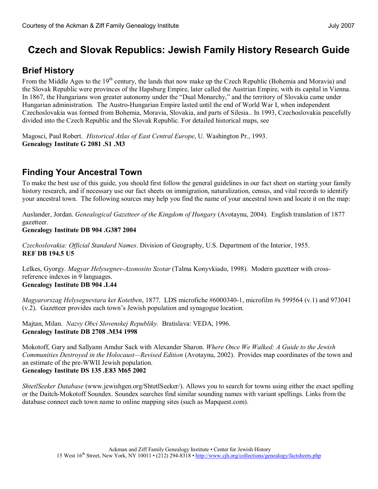# **Czech and Slovak Republics: Jewish Family History Research Guide**

# **Brief History**

From the Middle Ages to the 19<sup>th</sup> century, the lands that now make up the Czech Republic (Bohemia and Moravia) and the Slovak Republic were provinces of the Hapsburg Empire, later called the Austrian Empire, with its capital in Vienna. In 1867, the Hungarians won greater autonomy under the "Dual Monarchy," and the territory of Slovakia came under Hungarian administration. The Austro-Hungarian Empire lasted until the end of World War I, when independent Czechoslovakia was formed from Bohemia, Moravia, Slovakia, and parts of Silesia.. In 1993, Czechoslovakia peacefully divided into the Czech Republic and the Slovak Republic. For detailed historical maps, see

Magosci, Paul Robert. *Historical Atlas of East Central Europe*, U. Washington Pr., 1993. **Genealogy Institute G 2081 .S1 .M3** 

# **Finding Your Ancestral Town**

To make the best use of this guide, you should first follow the general guidelines in our [fact sheet on starting](http://www.cjh.org/family/pdf/StartingYourFamilyResearch.pdf) your family history research, and if necessary use our fact sheets on [immigration](http://www.cjh.org/family/pdf/ImmigrationRecords.pdf), [naturalization](http://www.cjh.org/family/pdf/Naturalization.pdf), census, and vital [records](http://www.cjh.org/family/pdf/VitalRecords.pdf) to identify your ancestral town. The following sources may help you find the name of your ancestral town and locate it on the map:

Auslander, Jordan. *Genealogical Gazetteer of the Kingdom of Hungary* (Avotaynu, 2004). English translation of 1877 gazetteer.

#### **Genealogy Institute DB 904 .G387 2004**

*Czechoslovakia: Official Standard Names*. Division of Geography, U.S. Department of the Interior, 1955. **REF DB 194.5 U5**

Lelkes, Gyorgy. *Magyar Helysegnev-Azonosito Szotar* (Talma Konyvkiado, 1998). Modern gazetteer with crossreference indexes in 9 languages. **Genealogy Institute DB 904 .L44**

*Magyarorszag Helysegnevtara ket Kotetben*, 1877. LDS microfiche #60003401, microfilm #s 599564 (v.1) and 973041 (v.2). Gazetteer provides each town's Jewish population and synagogue location.

Majtan, Milan. *Nazvy Obci Slovenskej Republiky.* Bratislava: VEDA, 1996. **Genealogy Institute DB 2708 .M34 1998**

Mokotoff, Gary and Sallyann Amdur Sack with Alexander Sharon. *Where Once We Walked: A Guide to the Jewish Communities Destroyed in the Holocaust—Revised Edition* (Avotaynu, 2002). Provides map coordinates of the town and an estimate of the pre-WWII Jewish population. **Genealogy Institute DS 135 .E83 M65 2002**

*ShtetlSeeker Database* ([www.jewishgen.org/ShtetlSeeker/\)](http://www.jewishgen.org/ShtetlSeeker/). Allows you to search for towns using either the exact spelling or the Daitch-Mokotoff Soundex. Soundex searches find similar sounding names with variant spellings. Links from the database connect each town name to online mapping sites (such as Mapquest.com).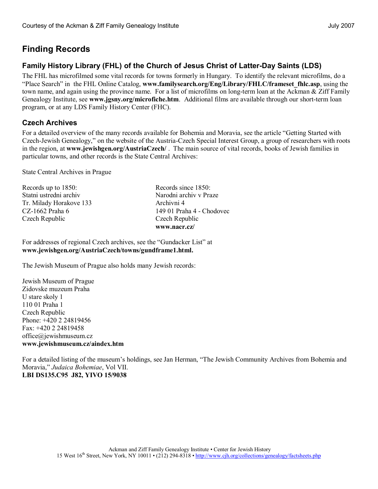## **Finding Records**

### **Family History Library (FHL) of the Church of Jesus Christ of Latter-Day Saints (LDS)**

The FHL has microfilmed some vital records for towns formerly in Hungary. To identify the relevant microfilms, do a "Place Search" in the FHL Online Catalog, **[www.familysearch.org/Eng/Library/FHLC/frameset\\_fhlc.asp](http://%20www.familysearch.org/Eng/Library/FHLC/frameset_fhlc.asp)**, using the town name, and again using the province name. For a list of microfilms on long-term loan at the Ackman & Ziff Family Genealogy Institute, see [www.jgsny.org/microfiche.htm](http://www.jgsny.org/microfiche.htm). Additional films are available through our short-term loan program, or at any LDS Family History Center (FHC).

### **Czech Archives**

For a detailed overview of the many records available for Bohemia and Moravia, see the article "Getting Started with Czech-Jewish Genealogy," on the website of the Austria-Czech Special Interest Group, a group of researchers with roots in the region, at **[www.jewishgen.org/AustriaCzech/](http://www.jewishgen.org/AustriaCzech/)** . The main source of vital records, books of Jewish families in particular towns, and other records is the State Central Archives:

State Central Archives in Prague

| Records up to 1850:     | Records since 1850:       |
|-------------------------|---------------------------|
| Statni ustredni archiv  | Narodni archiv v Praze    |
| Tr. Milady Horakove 133 | Archivni 4                |
| CZ-1662 Praha 6         | 149 01 Praha 4 - Chodovec |
| Czech Republic          | Czech Republic            |
|                         | www.nacr.cz/              |

For addresses of regional Czech archives, see the "Gundacker List" at **[www.jewishgen.org/AustriaCzech/towns/gundframe1.html](http://www.jewishgen.org/AustriaCzech/towns/gundframe1.html).**

The Jewish Museum of Prague also holds many Jewish records:

Jewish Museum of Prague Zidovske muzeum Praha U stare skoly 1 110 01 Praha 1 Czech Republic Phone: +420 2 24819456  $Fax + 420$  2 24819458 [office@jewishmuseum.cz](mailto:office@jewishmuseum.cz) **[www.jewishmuseum.cz/aindex.htm](http://www.jewishmuseum.cz/aindex.htm)**

For a detailed listing of the museum's holdings, see Jan Herman, "The Jewish Community Archives from Bohemia and Moravia," *Judaica Bohemiae*, Vol VII. **LBI DS135.C95 J82, YIVO 15/9038**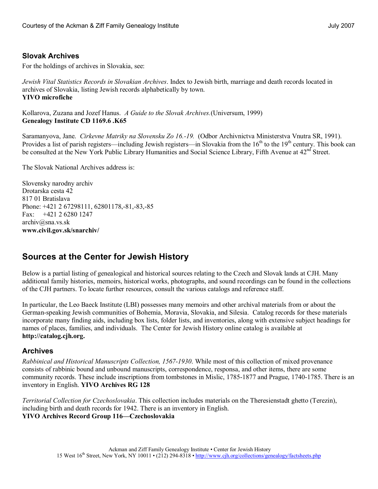#### **Slovak Archives**

For the holdings of archives in Slovakia, see:

*Jewish Vital Statistics Records in Slovakian Archives*. Index to Jewish birth, marriage and death records located in archives of Slovakia, listing Jewish records alphabetically by town. **YIVO microfiche**

Kollarova, Zuzana and Jozef Hanus. *A Guide to the Slovak Archives.*(Universum, 1999) **Genealogy Institute CD 1169.6 .K65**

Saramanyova, Jane. *Cirkevne Matriky na Slovensku Zo 16.19.* (Odbor Archivnictva Ministerstva Vnutra SR, 1991). Provides a list of parish registers—including Jewish registers—in Slovakia from the  $16<sup>th</sup>$  to the  $19<sup>th</sup>$  century. This book can be consulted at the New York Public Library Humanities and Social Science Library, Fifth Avenue at  $42<sup>nd</sup>$  Street.

The Slovak National Archives address is:

Slovensky narodny archiv Drotarska cesta 42 817 01 Bratislava Phone: +421 2 67298111, 62801178,-81,-83,-85 Fax: +421 2 6280 1247 [archiv@sna.vs.sk](mailto:archiv@sna.vs.sk) **[www.civil.gov.sk/snarchiv/](http://www.civil.gov.sk/snarchiv/)** 

### **Sources at the Center for Jewish History**

Below is a partial listing of genealogical and historical sources relating to the Czech and Slovak lands at CJH. Many additional family histories, memoirs, historical works, photographs, and sound recordings can be found in the collections of the CJH partners. To locate further resources, consult the various catalogs and reference staff.

In particular, the Leo Baeck Institute (LBI) possesses many memoirs and other archival materials from or about the German-speaking Jewish communities of Bohemia, Moravia, Slovakia, and Silesia. Catalog records for these materials incorporate many finding aids, including box lists, folder lists, and inventories, along with extensive subject headings for names of places, families, and individuals. The Center for Jewish History online catalog is available at **[http://catalog.cjh.org](http://catalog.cjh.org/).**

#### **Archives**

*Rabbinical and Historical Manuscripts Collection, 15671930*. While most of this collection of mixed provenance consists of rabbinic bound and unbound manuscripts, correspondence, responsa, and other items, there are some community records. These include inscriptions from tombstones in Mislic, 1785-1877 and Prague, 1740-1785. There is an inventory in English. **YIVO Archives RG 128**

*Territorial Collection for Czechoslovakia*. This collection includes materials on the Theresienstadt ghetto (Terezin), including birth and death records for 1942. There is an inventory in English. **YIVO Archives Record Group 116—Czechoslovakia**